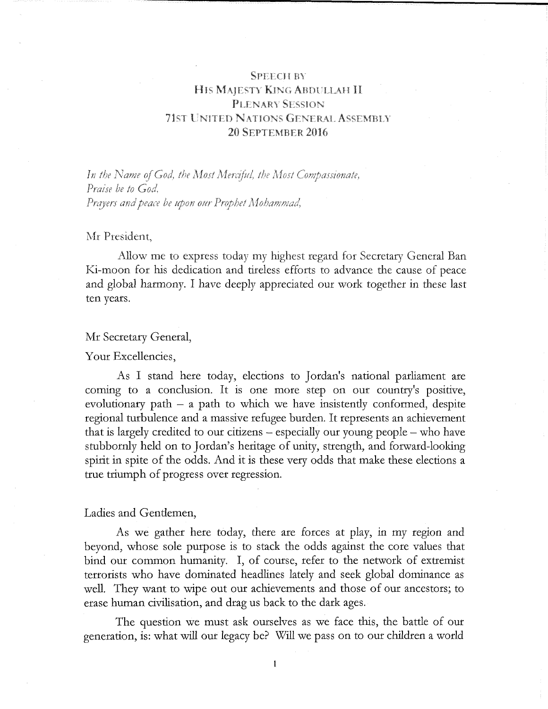# SPEECH BY HIS MAJESTY KING ABDULLAH II PLENARY SESSION 71ST UNITED NATIONS GENERAL ASSEMBLY 20 SEPTEMBER 2016

In the Name of God, the Most Merciful, the Most Compassionate, Praise be to God. Prayers and peace be upon our Prophet Mohammad,

## Mr President,

Allow me to express today my highest regard for Secretary General Ban Ki-moon for his dedication and tireless efforts to advance the cause of peace and global harmony. I have deeply appreciated our work together in these last ten years.

#### Mr Secretary General,

Your Excellencies,

As I stand here today, elections to Jordan's national parliament are coming to a conclusion. It is one more step on our country's positive, evolutionary path  $-$  a path to which we have insistently conformed, despite regional turbulence and a massive refugee burden. It represents an achievement that is largely credited to our citizens - especially our young people - who have stubbornly held on to Jordan's heritage of unity, strength, and forward-looking spirit in spite of the odds. And it is these very odds that make these elections a true triumph of progress over regression.

### Ladies and Gentlemen,

As we gather here today, there are forces at play, in my region and beyond, whose sole purpose is to stack the odds against the core values that bind our common humanity. I, of course, refer to the network of extremist terrorists who have dominated headlines lately and seek global dominance as well. They want to wipe out our achievements and those of our ancestors; to erase human civilisation, and drag us back to the dark ages.

The question we must ask ourselves as we face this, the battle of our generation, is: what will our legacy be? Will we pass on to our children a world

 $\mathbf{1}$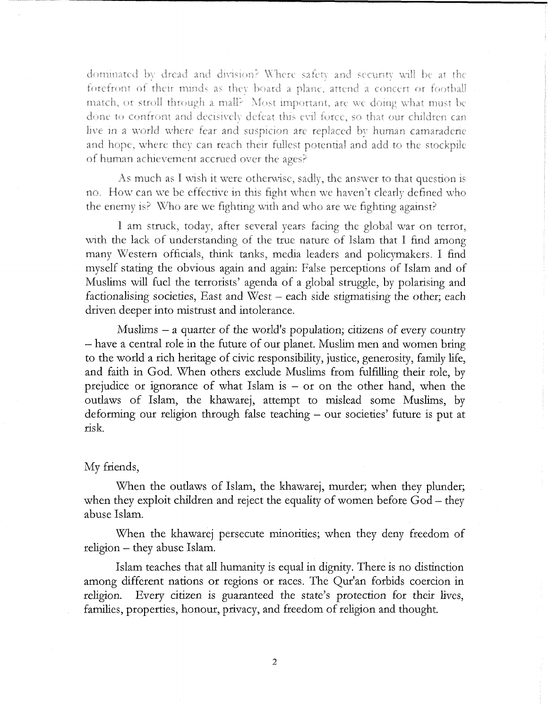dominated by dread and division? Where safety and security will be at the forefront of their minds as they board a plane, attend a concert or football match, or stroll through a mall? Most important, are we doing what must be done to confront and decisively defeat this evil force, so that our children can live in a world where fear and suspicion are replaced by human camaraderie and hope, where they can reach their fullest potential and add to the stockpile of human achievement accrued over the ages?

As much as I wish it were otherwise, sadly, the answer to that question is no. How can we be effective in this fight when we haven't clearly defined who the enemy is? Who are we fighting with and who are we fighting against?

I am struck, today, after several years facing the global war on terror, with the lack of understanding of the true nature of Islam that I find among many Western officials, think tanks, media leaders and policymakers, I find myself stating the obvious again and again: False perceptions of Islam and of Muslims will fuel the terrorists' agenda of a global struggle, by polarising and factionalising societies, East and West – each side stigmatising the other; each driven deeper into mistrust and intolerance.

Muslims  $-$  a quarter of the world's population; citizens of every country - have a central role in the future of our planet. Muslim men and women bring to the world a rich heritage of civic responsibility, justice, generosity, family life, and faith in God. When others exclude Muslims from fulfilling their role, by prejudice or ignorance of what Islam is  $-$  or on the other hand, when the outlaws of Islam, the khawarej, attempt to mislead some Muslims, by deforming our religion through false teaching – our societies' future is put at risk.

#### My friends,

When the outlaws of Islam, the khawarej, murder; when they plunder; when they exploit children and reject the equality of women before God – they abuse Islam.

When the khawarej persecute minorities; when they deny freedom of religion - they abuse Islam.

Islam teaches that all humanity is equal in dignity. There is no distinction among different nations or regions or races. The Qur'an forbids coercion in religion. Every citizen is guaranteed the state's protection for their lives, families, properties, honour, privacy, and freedom of religion and thought.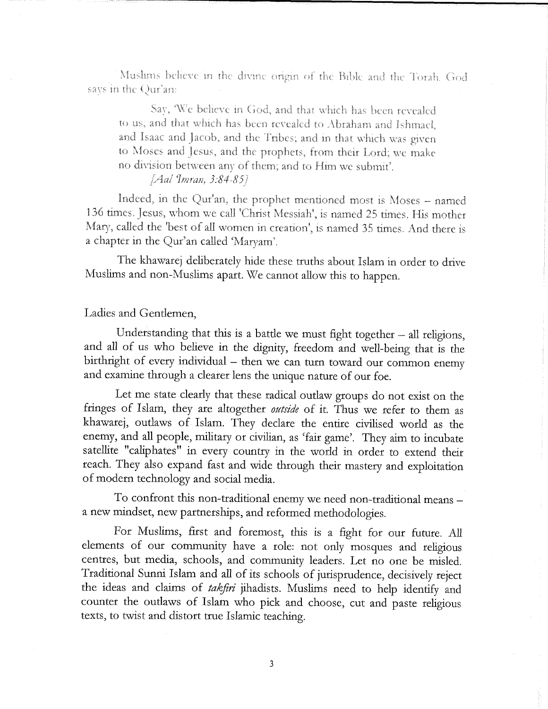Muslims believe in the divine origin of the Bible and the Torah. God says in the Qur'an:

Say, We believe in God, and that which has been revealed to us, and that which has been revealed to Abraham and Ishmael, and Isaac and Jacob, and the Tribes; and in that which was given to Moses and Jesus, and the prophets, from their Lord; we make no division between any of them; and to Him we submit'.

# [Aal Imran, 3:84-85]

Indeed, in the Qur'an, the prophet mentioned most is Moses - named 136 times. Jesus, whom we call 'Christ Messiah', is named 25 times. His mother Mary, called the 'best of all women in creation', is named 35 times. And there is a chapter in the Qur'an called 'Maryam'.

The khawarej deliberately hide these truths about Islam in order to drive Muslims and non-Muslims apart. We cannot allow this to happen.

# Ladies and Gentlemen,

Understanding that this is a battle we must fight together  $-$  all religions, and all of us who believe in the dignity, freedom and well-being that is the birthright of every individual - then we can turn toward our common enemy and examine through a clearer lens the unique nature of our foe.

Let me state dearly that these radical outlaw groups do not exist on the fringes of Islam, they are altogether outside of it. Thus we refer to them as khawarej, outlaws of Islam. They declare the entire civilised world as the enemy, and all people, military or civilian, as 'fair game'. They aim to incubate satellite "caliphates" in every country in the world in order to extend their reach. They also expand fast and wide through their mastery and exploitation of modern technology and social media.

To confront this non-traditional enemy we need non-traditional means a new mindset, new partnerships, and reformed methodologies.

For Muslims, first and foremost, this is a fight for our future. All elements of our community have a role: not only mosques and religious centres, but media, schools, and community leaders. Let no one be misled. Traditional Sunni Islam and all of its schools of jurisprudence, decisively reject the ideas and claims of takfiri jihadists. Muslims need to help identify and counter the outlaws of Islam who pick and choose, cut and paste religious texts, to twist and distort true Islamic teaching.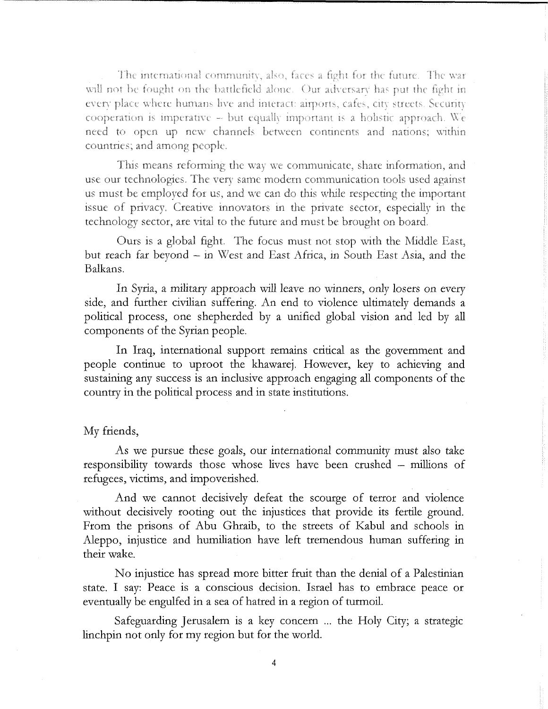The international community, also, faces a fight for the future. The war will not be fought on the battlefield alone. Our adversary has put the fight in every place where humans live and interact: airports, cafes, city streets. Security cooperation is imperative  $-$  but equally important is a holistic approach. We need to open up new channels between continents and nations; within countries; and among people.

This means reforming the way we communicate, share information, and use our technologies. The very same modern communication tools used against us must be employed for us, and we can do this while respecting the important issue of privacy. Creative innovators in the private sector, especially in the technology sector, are vital to the future and must be brought on board.

Ours is a global fight. The focus must not stop with the Middle East, but reach far beyond - in West and East Africa, m South East Asia, and the Balkans.

In Syria, a military approach will leave no winners, only losers on every side, and further civilian suffering. An end to violence ultimately demands a political process, one shepherded by a unified global vision and led by all components of the Syrian people.

In Iraq, international support remains critical as the government and people continue to uproot the khawarej. However, key to achieving and sustaining any success is an inclusive approach engaging all components of the country in the political process and in state institutions.

## My friends,

As we pursue these goals, our international community must also take responsibility towards those whose lives have been crushed - millions of refugees, victims, and impoverished.

And we cannot decisively defeat the scourge of terror and violence without decisively rooting out the injustices that provide its fertile ground. From the prisons of Abu Ghraib, to the streets of Kabul and schools in Aleppo, injustice and humiliation have left tremendous human suffering in their wake.

No injustice has spread more bitter fruit than the denial of a Palestinian state. I say: Peace is a conscious decision. Israel has to embrace peace or eventually be engulfed in a sea of hatred in a region of turmoil.

Safeguarding Jerusalem is a key concern ... the Holy City; a strategic linchpin not only for my region but for the world.